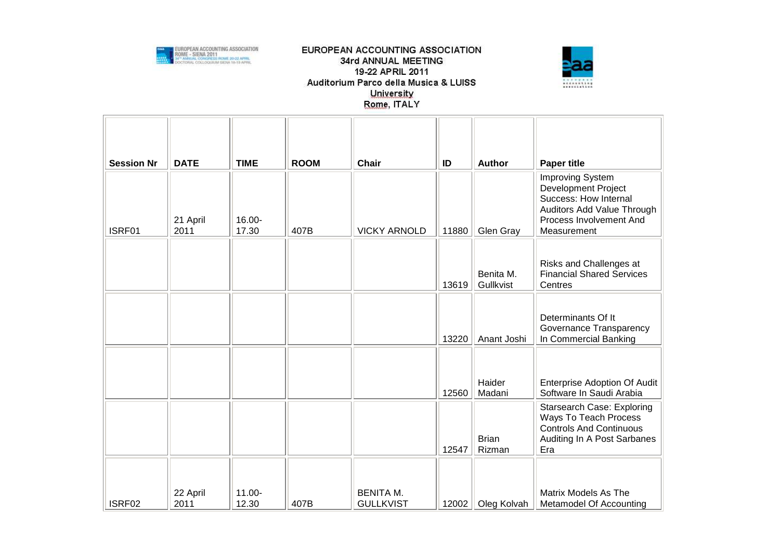

## EUROPEAN ACCOUNTING ASSOCIATION 34rd ANNUAL MEETING 19-22 APRIL 2011 Auditorium Parco della Musica & LUISS University Rome, ITALY



| <b>Session Nr</b> | <b>DATE</b>      | <b>TIME</b>     | <b>ROOM</b> | <b>Chair</b>                         | ID    | <b>Author</b>          | <b>Paper title</b>                                                                                                                                     |
|-------------------|------------------|-----------------|-------------|--------------------------------------|-------|------------------------|--------------------------------------------------------------------------------------------------------------------------------------------------------|
| ISRF01            | 21 April<br>2011 | 16.00-<br>17.30 | 407B        | <b>VICKY ARNOLD</b>                  | 11880 | Glen Gray              | <b>Improving System</b><br><b>Development Project</b><br>Success: How Internal<br>Auditors Add Value Through<br>Process Involvement And<br>Measurement |
|                   |                  |                 |             |                                      | 13619 | Benita M.<br>Gullkvist | Risks and Challenges at<br><b>Financial Shared Services</b><br>Centres                                                                                 |
|                   |                  |                 |             |                                      | 13220 | Anant Joshi            | Determinants Of It<br>Governance Transparency<br>In Commercial Banking                                                                                 |
|                   |                  |                 |             |                                      | 12560 | Haider<br>Madani       | <b>Enterprise Adoption Of Audit</b><br>Software In Saudi Arabia                                                                                        |
|                   |                  |                 |             |                                      | 12547 | <b>Brian</b><br>Rizman | <b>Starsearch Case: Exploring</b><br>Ways To Teach Process<br><b>Controls And Continuous</b><br>Auditing In A Post Sarbanes<br>Era                     |
| ISRF02            | 22 April<br>2011 | 11.00-<br>12.30 | 407B        | <b>BENITA M.</b><br><b>GULLKVIST</b> | 12002 | Oleg Kolvah            | <b>Matrix Models As The</b><br>Metamodel Of Accounting                                                                                                 |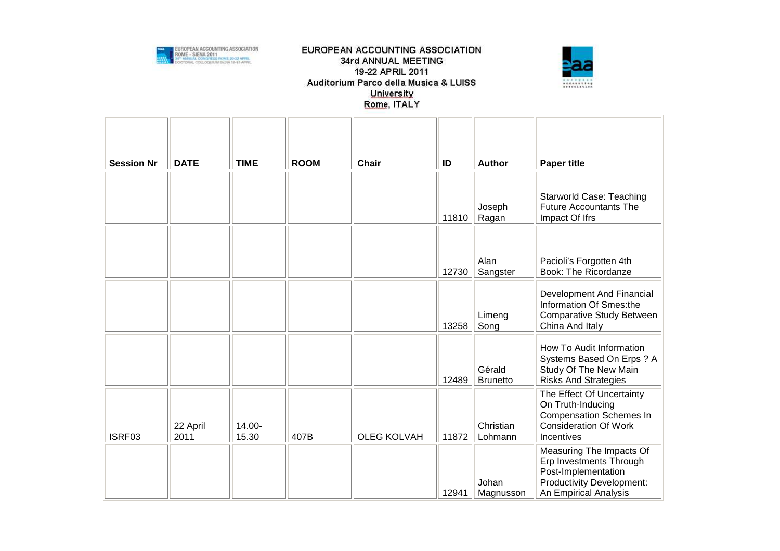

## EUROPEAN ACCOUNTING ASSOCIATION 34rd ANNUAL MEETING 19-22 APRIL 2011 Auditorium Parco della Musica & LUISS University Rome, ITALY



| <b>Session Nr</b> | <b>DATE</b>      | <b>TIME</b>     | <b>ROOM</b> | <b>Chair</b>       | ID    | <b>Author</b>             | <b>Paper title</b>                                                                                                                      |
|-------------------|------------------|-----------------|-------------|--------------------|-------|---------------------------|-----------------------------------------------------------------------------------------------------------------------------------------|
|                   |                  |                 |             |                    | 11810 | Joseph<br>Ragan           | <b>Starworld Case: Teaching</b><br><b>Future Accountants The</b><br>Impact Of Ifrs                                                      |
|                   |                  |                 |             |                    | 12730 | Alan<br>Sangster          | Pacioli's Forgotten 4th<br><b>Book: The Ricordanze</b>                                                                                  |
|                   |                  |                 |             |                    | 13258 | Limeng<br>Song            | Development And Financial<br>Information Of Smes:the<br><b>Comparative Study Between</b><br>China And Italy                             |
|                   |                  |                 |             |                    | 12489 | Gérald<br><b>Brunetto</b> | How To Audit Information<br>Systems Based On Erps ? A<br>Study Of The New Main<br><b>Risks And Strategies</b>                           |
| ISRF03            | 22 April<br>2011 | 14.00-<br>15.30 | 407B        | <b>OLEG KOLVAH</b> | 11872 | Christian<br>Lohmann      | The Effect Of Uncertainty<br>On Truth-Inducing<br><b>Compensation Schemes In</b><br><b>Consideration Of Work</b><br>Incentives          |
|                   |                  |                 |             |                    | 12941 | Johan<br>Magnusson        | Measuring The Impacts Of<br>Erp Investments Through<br>Post-Implementation<br><b>Productivity Development:</b><br>An Empirical Analysis |